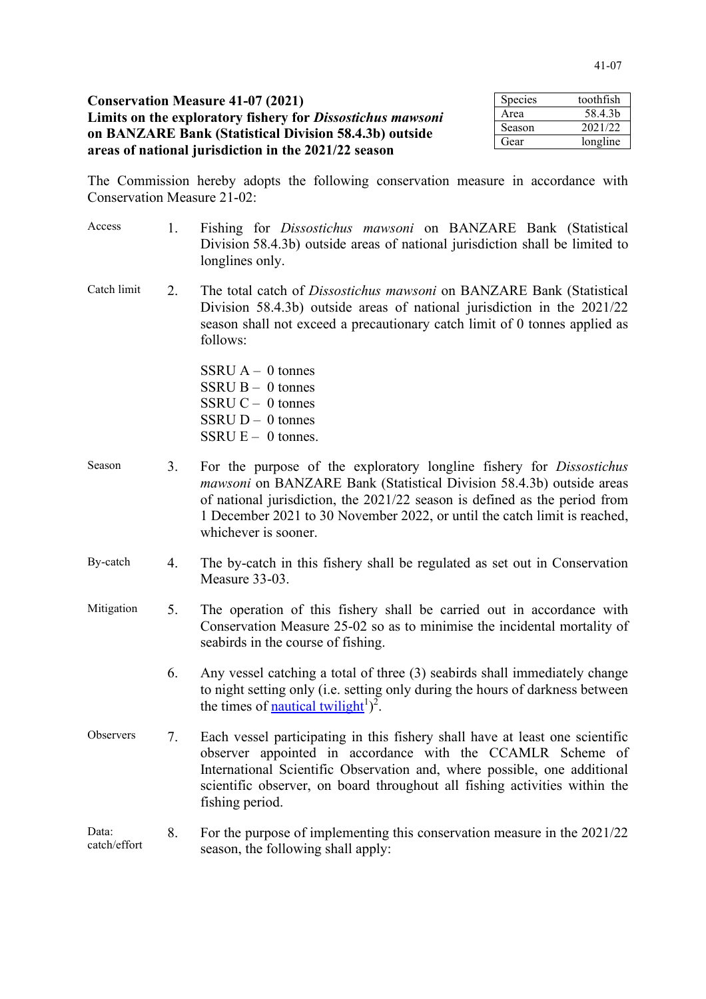| <b>Conservation Measure 41-07 (2021)</b>                          | Species | toothfish |
|-------------------------------------------------------------------|---------|-----------|
| Limits on the exploratory fishery for <i>Dissostichus mawsoni</i> | Area    | 58.4.3b   |
| on BANZARE Bank (Statistical Division 58.4.3b) outside            | Season  | 2021/22   |
|                                                                   | Gear    | longline  |
| areas of national jurisdiction in the 2021/22 season              |         |           |

The Commission hereby adopts the following conservation measure in accordance with Conservation Measure 21-02:

- Access 1. Fishing for *Dissostichus mawsoni* on BANZARE Bank (Statistical Division 58.4.3b) outside areas of national jurisdiction shall be limited to longlines only.
- Catch limit 2. The total catch of *Dissostichus mawsoni* on BANZARE Bank (Statistical Division 58.4.3b) outside areas of national jurisdiction in the 2021/22 season shall not exceed a precautionary catch limit of 0 tonnes applied as follows:

 $SSRU A - 0$  tonnes  $SSRU B - 0$  tonnes SSRU  $C - 0$  tonnes  $SSRU D - 0$  tonnes SSRU  $E - 0$  tonnes.

- Season 3. For the purpose of the exploratory longline fishery for *Dissostichus mawsoni* on BANZARE Bank (Statistical Division 58.4.3b) outside areas of national jurisdiction, the 2021/22 season is defined as the period from 1 December 2021 to 30 November 2022, or until the catch limit is reached, whichever is sooner.
- By-catch 4. The by-catch in this fishery shall be regulated as set out in Conservation Measure 33-03.
- Mitigation 5. The operation of this fishery shall be carried out in accordance with Conservation Measure 25-02 so as to minimise the incidental mortality of seabirds in the course of fishing.
	- 6. Any vessel catching a total of three (3) seabirds shall immediately change to night setting only (i.e. setting only during the hours of darkness between the times of **nautical twilight**<sup>1</sup>)<sup>2</sup>.
- Observers 7. Each vessel participating in this fishery shall have at least one scientific observer appointed in accordance with the CCAMLR Scheme of International Scientific Observation and, where possible, one additional scientific observer, on board throughout all fishing activities within the fishing period.
- Data: catch/effort 8. For the purpose of implementing this conservation measure in the 2021/22 season, the following shall apply: